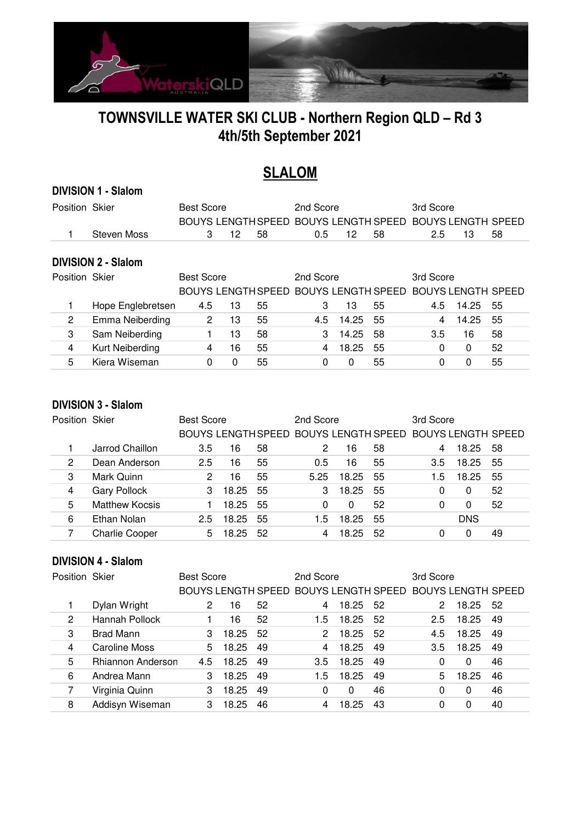

# **TOWNSVILLE WATER SKI CLUB - Northern Region QLD – Rd 3 4th/5th September 2021**

# **SLALOM**

### **DIVISION 1 - Slalom**

| Position Skier |                            | <b>Best Score</b>  |    |    | 2nd Score                 |       |    | 3rd Score                 |       |    |
|----------------|----------------------------|--------------------|----|----|---------------------------|-------|----|---------------------------|-------|----|
|                |                            | BOUYS LENGTH SPEED |    |    | <b>BOUYS LENGTH SPEED</b> |       |    | <b>BOUYS LENGTH SPEED</b> |       |    |
|                | Steven Moss                | 3                  | 12 | 58 | 0.5                       | 12    | 58 | 2.5                       | 13    | 58 |
|                |                            |                    |    |    |                           |       |    |                           |       |    |
|                | <b>DIVISION 2 - Slalom</b> |                    |    |    |                           |       |    |                           |       |    |
| Position Skier |                            | <b>Best Score</b>  |    |    | 2nd Score                 |       |    | 3rd Score                 |       |    |
|                |                            |                    |    |    |                           |       |    |                           |       |    |
|                |                            | BOUYS LENGTH SPEED |    |    | BOUYS LENGTH SPEED        |       |    | <b>BOUYS LENGTH SPEED</b> |       |    |
|                | Hope Englebretsen          | 4.5                | 13 | 55 | 3                         | 13    | 55 | 4.5                       | 14.25 | 55 |
| 2              | Emma Neiberding            | 2                  | 13 | 55 | 4.5                       | 14.25 | 55 | 4                         | 14.25 | 55 |
| 3              | Sam Neiberding             |                    | 13 | 58 | 3                         | 14.25 | 58 | 3.5                       | 16    | 58 |
| 4              | Kurt Neiberding            | 4                  | 16 | 55 | 4                         | 18.25 | 55 | 0                         | 0     | 52 |

### **DIVISION 3 - Slalom**

| Position Skier |                       | <b>Best Score</b> |       |    | 2nd Score |       |    | 3rd Score                                                |            |     |
|----------------|-----------------------|-------------------|-------|----|-----------|-------|----|----------------------------------------------------------|------------|-----|
|                |                       |                   |       |    |           |       |    | BOUYS LENGTH SPEED BOUYS LENGTH SPEED BOUYS LENGTH SPEED |            |     |
|                | Jarrod Chaillon       | 3.5               | 16    | 58 |           | 16    | 58 |                                                          | 18.25      | -58 |
| 2              | Dean Anderson         | 2.5               | 16    | 55 | 0.5       | 16    | 55 | $3.5^{\circ}$                                            | 18.25      | 55  |
| 3              | Mark Quinn            |                   | 16    | 55 | 5.25      | 18.25 | 55 | 1.5                                                      | 18.25      | 55  |
| 4              | <b>Gary Pollock</b>   |                   | 18.25 | 55 |           | 18.25 | 55 |                                                          | 0          | 52  |
| 5              | <b>Matthew Kocsis</b> |                   | 18.25 | 55 | 0         | 0     | 52 |                                                          | 0          | 52  |
| 6              | Ethan Nolan           | 2.5               | 18.25 | 55 | 1.5       | 18.25 | 55 |                                                          | <b>DNS</b> |     |
|                | <b>Charlie Cooper</b> | 5                 | 18.25 | 52 |           | 18.25 | 52 |                                                          |            | 49  |

### **DIVISION 4 - Slalom**

| Position Skier |                          | <b>Best Score</b> |       |    | 2nd Score                                                |       |    | 3rd Score     |       |    |
|----------------|--------------------------|-------------------|-------|----|----------------------------------------------------------|-------|----|---------------|-------|----|
|                |                          |                   |       |    | BOUYS LENGTH SPEED BOUYS LENGTH SPEED BOUYS LENGTH SPEED |       |    |               |       |    |
|                | Dylan Wright             | 2                 | 16    | 52 | 4                                                        | 18.25 | 52 |               | 18.25 | 52 |
| 2              | Hannah Pollock           |                   | 16    | 52 | 1.5                                                      | 18.25 | 52 | $2.5^{\circ}$ | 18.25 | 49 |
| 3              | Brad Mann                | 3                 | 18.25 | 52 | 2                                                        | 18.25 | 52 | 4.5           | 18.25 | 49 |
| 4              | Caroline Moss            | 5.                | 18.25 | 49 | 4                                                        | 18.25 | 49 | 3.5           | 18.25 | 49 |
| 5              | <b>Rhiannon Anderson</b> | 4.5               | 18.25 | 49 | 3.5                                                      | 18.25 | 49 | 0             | 0     | 46 |
| 6              | Andrea Mann              |                   | 18.25 | 49 | 1.5                                                      | 18.25 | 49 | 5             | 18.25 | 46 |
|                | Virginia Quinn           | 3                 | 18.25 | 49 | 0                                                        | 0     | 46 | 0             | 0     | 46 |
| 8              | Addisyn Wiseman          | 3                 | 18.25 | 46 |                                                          | 18.25 | 43 |               |       | 40 |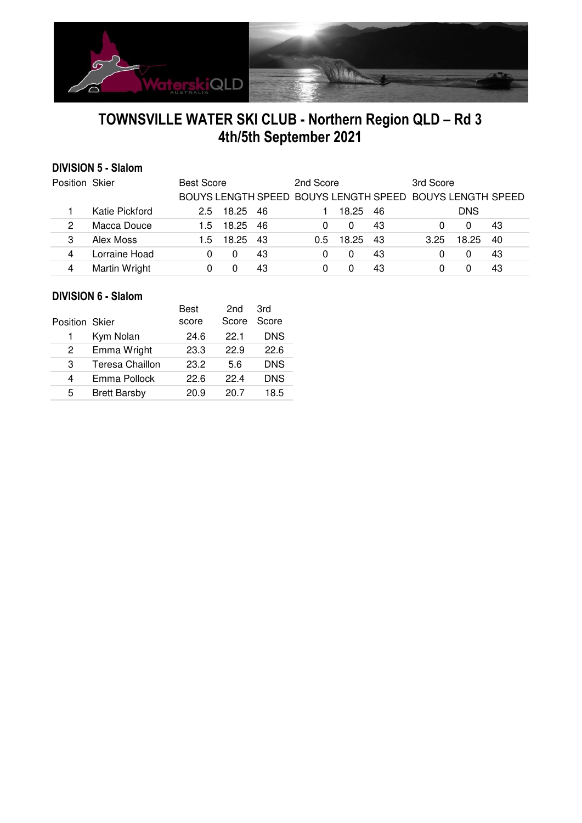

# **TOWNSVILLE WATER SKI CLUB - Northern Region QLD – Rd 3 4th/5th September 2021**

## **DIVISION 5 - Slalom**

| Position Skier |                | <b>Best Score</b> |       |     | 2nd Score     |       |    | 3rd Score                                                |            |    |
|----------------|----------------|-------------------|-------|-----|---------------|-------|----|----------------------------------------------------------|------------|----|
|                |                |                   |       |     |               |       |    | BOUYS LENGTH SPEED BOUYS LENGTH SPEED BOUYS LENGTH SPEED |            |    |
|                | Katie Pickford | $2.5^{\circ}$     | 18.25 | -46 |               | 18.25 | 46 |                                                          | <b>DNS</b> |    |
|                | Macca Douce    | 15                | 18.25 | 46  |               |       | 43 |                                                          | $\Omega$   | 43 |
|                | Alex Moss      | 15                | 18.25 | 43  | $0.5^{\circ}$ | 18.25 | 43 | 3.25                                                     | 18.25      | 40 |
|                | Lorraine Hoad  |                   |       | 43  |               |       | 43 |                                                          | $^{(1)}$   | 43 |
|                | Martin Wright  |                   |       | 43  |               |       | 43 |                                                          |            | 43 |

### **DIVISION 6 - Slalom**

|                |                        | Best  | 2 <sub>nd</sub> | 3rd        |  |
|----------------|------------------------|-------|-----------------|------------|--|
| Position Skier |                        | score | Score           | Score      |  |
|                | Kym Nolan              | 24.6  | 22.1            | <b>DNS</b> |  |
| 2              | Emma Wright            | 23.3  | 22.9            | 22.6       |  |
| З              | <b>Teresa Chaillon</b> | 23.2  | 5.6             | <b>DNS</b> |  |
| 4              | Emma Pollock           | 22.6  | 224             | <b>DNS</b> |  |
| 5              | <b>Brett Barsby</b>    | 20.9  | 20 7            | 18.5       |  |
|                |                        |       |                 |            |  |